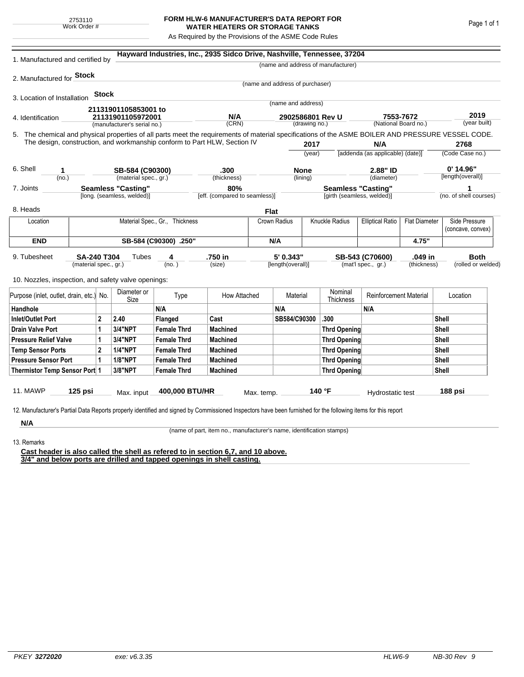## **FORM HLW-6 MANUFACTURER'S DATA REPORT FOR WATER HEATERS OR STORAGE TANKS**

As Required by the Provisions of the ASME Code Rules

| 1. Manufactured and certified by                                                                                                                                                                                                |                                                         |         |                             |                    | Hayward Industries, Inc., 2935 Sidco Drive, Nashville, Tennessee, 37204 |              |                                   |                     |                                                         |                               |                                   |                    |                             |
|---------------------------------------------------------------------------------------------------------------------------------------------------------------------------------------------------------------------------------|---------------------------------------------------------|---------|-----------------------------|--------------------|-------------------------------------------------------------------------|--------------|-----------------------------------|---------------------|---------------------------------------------------------|-------------------------------|-----------------------------------|--------------------|-----------------------------|
|                                                                                                                                                                                                                                 |                                                         |         |                             |                    |                                                                         |              |                                   |                     | (name and address of manufacturer)                      |                               |                                   |                    |                             |
| 2. Manufactured for <b>Stock</b>                                                                                                                                                                                                |                                                         |         |                             |                    |                                                                         |              |                                   |                     |                                                         |                               |                                   |                    |                             |
|                                                                                                                                                                                                                                 |                                                         |         |                             |                    |                                                                         |              | (name and address of purchaser)   |                     |                                                         |                               |                                   |                    |                             |
| 3. Location of Installation                                                                                                                                                                                                     |                                                         | Stock   |                             |                    |                                                                         |              | (name and address)                |                     |                                                         |                               |                                   |                    |                             |
|                                                                                                                                                                                                                                 |                                                         |         | 21131901105853001 to        |                    |                                                                         |              |                                   |                     |                                                         |                               |                                   |                    |                             |
| 4. Identification                                                                                                                                                                                                               |                                                         |         | 21131901105972001           |                    | N/A<br>(CRN)                                                            |              | 2902586801 Rev U<br>(drawing no.) |                     |                                                         |                               | 7553-7672<br>(National Board no.) |                    | 2019<br>(year built)        |
|                                                                                                                                                                                                                                 |                                                         |         | (manufacturer's serial no.) |                    |                                                                         |              |                                   |                     |                                                         |                               |                                   |                    |                             |
| 5. The chemical and physical properties of all parts meet the requirements of material specifications of the ASME BOILER AND PRESSURE VESSEL CODE.<br>The design, construction, and workmanship conform to Part HLW, Section IV |                                                         |         |                             |                    |                                                                         |              |                                   | 2017                |                                                         | N/A                           |                                   |                    | 2768                        |
|                                                                                                                                                                                                                                 |                                                         |         |                             |                    |                                                                         |              | (year)                            |                     | [addenda (as applicable) (date)]                        |                               |                                   |                    | (Code Case no.)             |
|                                                                                                                                                                                                                                 |                                                         |         |                             |                    |                                                                         |              |                                   |                     |                                                         |                               |                                   |                    |                             |
| 6. Shell<br>1                                                                                                                                                                                                                   |                                                         |         | SB-584 (C90300)             |                    | .300                                                                    |              | <b>None</b>                       |                     | 2.88" ID                                                |                               |                                   | 0' 14.96"          |                             |
| (no.)                                                                                                                                                                                                                           |                                                         |         | (material spec., gr.)       |                    | (thickness)                                                             |              | (lining)                          |                     |                                                         | (diameter)                    |                                   |                    | [length(overall)]           |
| 7. Joints                                                                                                                                                                                                                       | <b>Seamless "Casting"</b><br>[long. (seamless, welded)] |         |                             |                    | 80%<br>[eff. (compared to seamless)]                                    |              |                                   |                     | <b>Seamless "Casting"</b><br>[girth (seamless, welded)] |                               |                                   |                    | 1<br>(no. of shell courses) |
|                                                                                                                                                                                                                                 |                                                         |         |                             |                    |                                                                         |              |                                   |                     |                                                         |                               |                                   |                    |                             |
| 8. Heads                                                                                                                                                                                                                        |                                                         |         |                             |                    |                                                                         | <b>Flat</b>  |                                   |                     |                                                         |                               |                                   |                    |                             |
| Material Spec., Gr., Thickness<br>Location                                                                                                                                                                                      |                                                         |         |                             |                    |                                                                         | Crown Radius |                                   | Knuckle Radius      | <b>Elliptical Ratio</b>                                 | <b>Flat Diameter</b>          |                                   | Side Pressure      |                             |
|                                                                                                                                                                                                                                 |                                                         |         |                             |                    |                                                                         |              |                                   |                     |                                                         |                               |                                   |                    | (concave, convex)           |
| <b>END</b>                                                                                                                                                                                                                      | SB-584 (C90300) .250"                                   |         |                             |                    |                                                                         |              | N/A                               |                     |                                                         |                               | 4.75"                             |                    |                             |
| 9. Tubesheet<br><b>SA-240 T304</b><br>(material spec., gr.)                                                                                                                                                                     |                                                         |         | Tubes                       | 4                  | .750 in                                                                 |              | 5' 0.343"                         |                     | .049 in<br>SB-543 (C70600)                              |                               |                                   | <b>Both</b>        |                             |
|                                                                                                                                                                                                                                 |                                                         |         | (no. )                      |                    | (size)                                                                  |              | [length(overall)]                 |                     | (mat'l spec., gr.)                                      |                               | (thickness)                       | (rolled or welded) |                             |
| 10. Nozzles, inspection, and safety valve openings:                                                                                                                                                                             |                                                         |         |                             |                    |                                                                         |              |                                   |                     |                                                         |                               |                                   |                    |                             |
|                                                                                                                                                                                                                                 | Purpose (inlet, outlet, drain, etc.) No.                |         | Diameter or<br>Size         | Type               | How Attached                                                            |              | Material                          |                     | Nominal<br>Thickness                                    | <b>Reinforcement Material</b> |                                   |                    | Location                    |
| Handhole                                                                                                                                                                                                                        |                                                         |         |                             | N/A                |                                                                         |              | N/A                               |                     |                                                         | N/A                           |                                   |                    |                             |
| <b>Inlet/Outlet Port</b>                                                                                                                                                                                                        | $\overline{2}$                                          |         | 2.40                        | Flanged            | Cast                                                                    |              | SB584/C90300                      |                     | .300                                                    |                               |                                   | Shell              |                             |
| <b>Drain Valve Port</b><br>1                                                                                                                                                                                                    |                                                         | 3/4"NPT | <b>Female Thrd</b>          | <b>Machined</b>    |                                                                         |              |                                   | <b>Thrd Opening</b> |                                                         | Shell                         |                                   |                    |                             |
| <b>Pressure Relief Valve</b><br>1                                                                                                                                                                                               |                                                         |         | 3/4"NPT                     | <b>Female Thrd</b> | <b>Machined</b>                                                         |              |                                   | <b>Thrd Opening</b> |                                                         |                               |                                   | Shell              |                             |
| $\overline{2}$<br><b>Temp Sensor Ports</b>                                                                                                                                                                                      |                                                         |         | <b>1/4"NPT</b>              | <b>Female Thrd</b> | <b>Machined</b>                                                         |              |                                   |                     | <b>Thrd Opening</b>                                     |                               | Shell                             |                    |                             |
| <b>Pressure Sensor Port</b><br>1                                                                                                                                                                                                |                                                         |         | <b>1/8"NPT</b>              | <b>Female Thrd</b> | <b>Machined</b>                                                         |              |                                   |                     | Thrd Opening                                            |                               |                                   | Shell              |                             |
| Thermistor Temp Sensor Port 1                                                                                                                                                                                                   |                                                         |         | 3/8"NPT                     | <b>Female Thrd</b> | <b>Machined</b>                                                         |              |                                   |                     | Thrd Opening                                            |                               |                                   | Shell              |                             |
| 11. MAWP                                                                                                                                                                                                                        | $125$ psi                                               |         |                             | 400,000 BTU/HR     |                                                                         |              |                                   |                     | 140 °F                                                  |                               |                                   |                    | 188 psi                     |
|                                                                                                                                                                                                                                 |                                                         |         | Max. input                  |                    |                                                                         | Max. temp.   |                                   |                     |                                                         | Hydrostatic test              |                                   |                    |                             |
| 12. Manufacturer's Partial Data Reports properly identified and signed by Commissioned Inspectors have been furnished for the following items for this report                                                                   |                                                         |         |                             |                    |                                                                         |              |                                   |                     |                                                         |                               |                                   |                    |                             |
|                                                                                                                                                                                                                                 |                                                         |         |                             |                    |                                                                         |              |                                   |                     |                                                         |                               |                                   |                    |                             |
| N/A                                                                                                                                                                                                                             |                                                         |         |                             |                    |                                                                         |              |                                   |                     |                                                         |                               |                                   |                    |                             |

(name of part, item no., manufacturer's name, identification stamps)

13. Remarks

**Cast header is also called the shell as refered to in section 6,7, and 10 above. 3/4" and below ports are drilled and tapped openings in shell casting.**